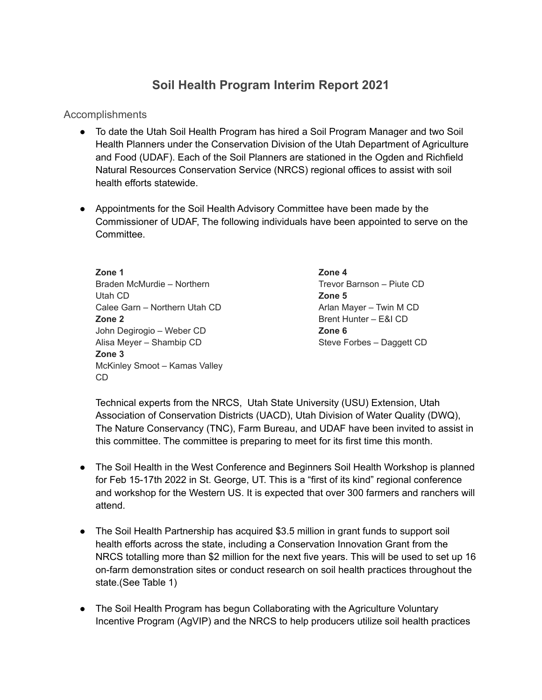## **Soil Health Program Interim Report 2021**

Accomplishments

- To date the Utah Soil Health Program has hired a Soil Program Manager and two Soil Health Planners under the Conservation Division of the Utah Department of Agriculture and Food (UDAF). Each of the Soil Planners are stationed in the Ogden and Richfield Natural Resources Conservation Service (NRCS) regional offices to assist with soil health efforts statewide.
- Appointments for the Soil Health Advisory Committee have been made by the Commissioner of UDAF, The following individuals have been appointed to serve on the Committee.

**Zone 1** Braden McMurdie – Northern Utah CD Calee Garn – Northern Utah CD **Zone 2** John Degirogio – Weber CD Alisa Meyer – Shambip CD **Zone 3** McKinley Smoot – Kamas Valley CD

**Zone 4** Trevor Barnson – Piute CD **Zone 5** Arlan Mayer – Twin M CD Brent Hunter – E&I CD **Zone 6** Steve Forbes – Daggett CD

Technical experts from the NRCS, Utah State University (USU) Extension, Utah Association of Conservation Districts (UACD), Utah Division of Water Quality (DWQ), The Nature Conservancy (TNC), Farm Bureau, and UDAF have been invited to assist in this committee. The committee is preparing to meet for its first time this month.

- The Soil Health in the West Conference and Beginners Soil Health Workshop is planned for Feb 15-17th 2022 in St. George, UT. This is a "first of its kind" regional conference and workshop for the Western US. It is expected that over 300 farmers and ranchers will attend.
- The Soil Health Partnership has acquired \$3.5 million in grant funds to support soil health efforts across the state, including a Conservation Innovation Grant from the NRCS totalling more than \$2 million for the next five years. This will be used to set up 16 on-farm demonstration sites or conduct research on soil health practices throughout the state.(See Table 1)
- The Soil Health Program has begun Collaborating with the Agriculture Voluntary Incentive Program (AgVIP) and the NRCS to help producers utilize soil health practices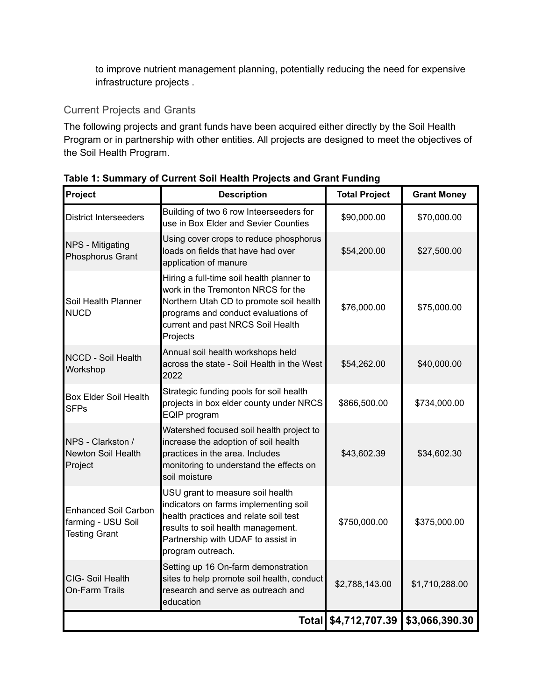to improve nutrient management planning, potentially reducing the need for expensive infrastructure projects .

## Current Projects and Grants

The following projects and grant funds have been acquired either directly by the Soil Health Program or in partnership with other entities. All projects are designed to meet the objectives of the Soil Health Program.

| Project                                                                   | <b>Description</b>                                                                                                                                                                                                  | <b>Total Project</b> | <b>Grant Money</b> |
|---------------------------------------------------------------------------|---------------------------------------------------------------------------------------------------------------------------------------------------------------------------------------------------------------------|----------------------|--------------------|
| <b>District Interseeders</b>                                              | Building of two 6 row Inteerseeders for<br>use in Box Elder and Sevier Counties                                                                                                                                     | \$90,000.00          | \$70,000.00        |
| NPS - Mitigating<br>Phosphorus Grant                                      | Using cover crops to reduce phosphorus<br>loads on fields that have had over<br>application of manure                                                                                                               | \$54,200.00          | \$27,500.00        |
| Soil Health Planner<br><b>NUCD</b>                                        | Hiring a full-time soil health planner to<br>work in the Tremonton NRCS for the<br>Northern Utah CD to promote soil health<br>programs and conduct evaluations of<br>current and past NRCS Soil Health<br>Projects  | \$76,000.00          | \$75,000.00        |
| <b>NCCD - Soil Health</b><br>Workshop                                     | Annual soil health workshops held<br>across the state - Soil Health in the West<br>2022                                                                                                                             | \$54,262.00          | \$40,000.00        |
| <b>Box Elder Soil Health</b><br><b>SFPs</b>                               | Strategic funding pools for soil health<br>projects in box elder county under NRCS<br>EQIP program                                                                                                                  | \$866,500.00         | \$734,000.00       |
| NPS - Clarkston /<br>Newton Soil Health<br>Project                        | Watershed focused soil health project to<br>increase the adoption of soil health<br>practices in the area. Includes<br>monitoring to understand the effects on<br>soil moisture                                     | \$43,602.39          | \$34,602.30        |
| <b>Enhanced Soil Carbon</b><br>farming - USU Soil<br><b>Testing Grant</b> | USU grant to measure soil health<br>indicators on farms implementing soil<br>health practices and relate soil test<br>results to soil health management.<br>Partnership with UDAF to assist in<br>program outreach. | \$750,000.00         | \$375,000.00       |
| CIG-Soil Health<br>On-Farm Trails                                         | Setting up 16 On-farm demonstration<br>sites to help promote soil health, conduct<br>research and serve as outreach and<br>education                                                                                | \$2,788,143.00       | \$1,710,288.00     |
|                                                                           |                                                                                                                                                                                                                     | Total \$4,712,707.39 | \$3,066,390.30     |

**Table 1: Summary of Current Soil Health Projects and Grant Funding**